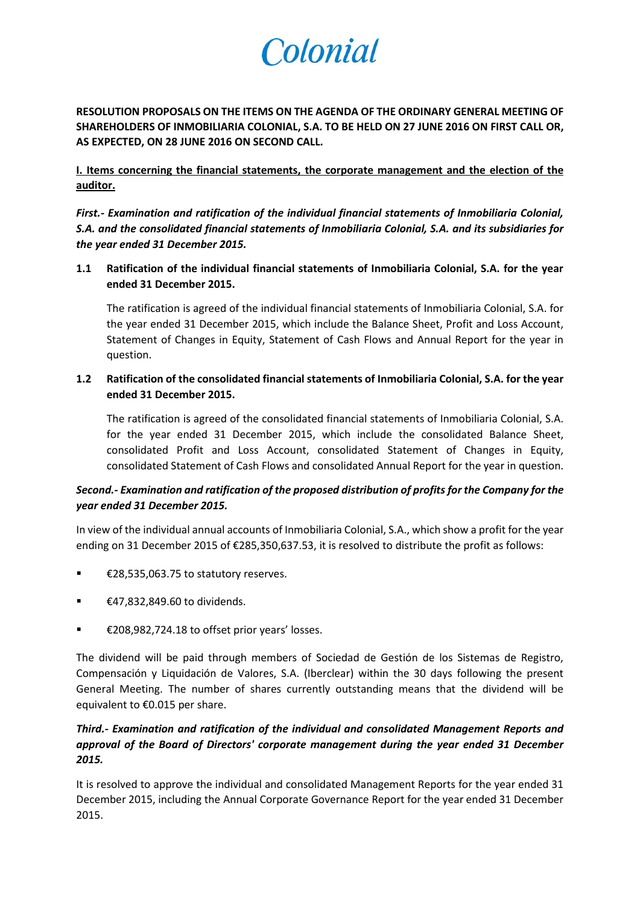# Colonial

**RESOLUTION PROPOSALS ON THE ITEMS ON THE AGENDA OF THE ORDINARY GENERAL MEETING OF SHAREHOLDERS OF INMOBILIARIA COLONIAL, S.A. TO BE HELD ON 27 JUNE 2016 ON FIRST CALL OR, AS EXPECTED, ON 28 JUNE 2016 ON SECOND CALL.**

**I. Items concerning the financial statements, the corporate management and the election of the auditor.**

*First.- Examination and ratification of the individual financial statements of Inmobiliaria Colonial, S.A. and the consolidated financial statements of Inmobiliaria Colonial, S.A. and its subsidiaries for the year ended 31 December 2015.* 

**1.1 Ratification of the individual financial statements of Inmobiliaria Colonial, S.A. for the year ended 31 December 2015.**

The ratification is agreed of the individual financial statements of Inmobiliaria Colonial, S.A. for the year ended 31 December 2015, which include the Balance Sheet, Profit and Loss Account, Statement of Changes in Equity, Statement of Cash Flows and Annual Report for the year in question.

**1.2 Ratification of the consolidated financial statements of Inmobiliaria Colonial, S.A. for the year ended 31 December 2015.**

The ratification is agreed of the consolidated financial statements of Inmobiliaria Colonial, S.A. for the year ended 31 December 2015, which include the consolidated Balance Sheet, consolidated Profit and Loss Account, consolidated Statement of Changes in Equity, consolidated Statement of Cash Flows and consolidated Annual Report for the year in question.

# *Second.- Examination and ratification of the proposed distribution of profits for the Company for the year ended 31 December 2015.*

In view of the individual annual accounts of Inmobiliaria Colonial, S.A., which show a profit for the year ending on 31 December 2015 of €285,350,637.53, it is resolved to distribute the profit as follows:

- €28,535,063.75 to statutory reserves.
- $€47,832,849.60$  to dividends.
- €208,982,724.18 to offset prior years' losses.

The dividend will be paid through members of Sociedad de Gestión de los Sistemas de Registro, Compensación y Liquidación de Valores, S.A. (Iberclear) within the 30 days following the present General Meeting. The number of shares currently outstanding means that the dividend will be equivalent to €0.015 per share.

# *Third.- Examination and ratification of the individual and consolidated Management Reports and approval of the Board of Directors' corporate management during the year ended 31 December 2015.*

It is resolved to approve the individual and consolidated Management Reports for the year ended 31 December 2015, including the Annual Corporate Governance Report for the year ended 31 December 2015.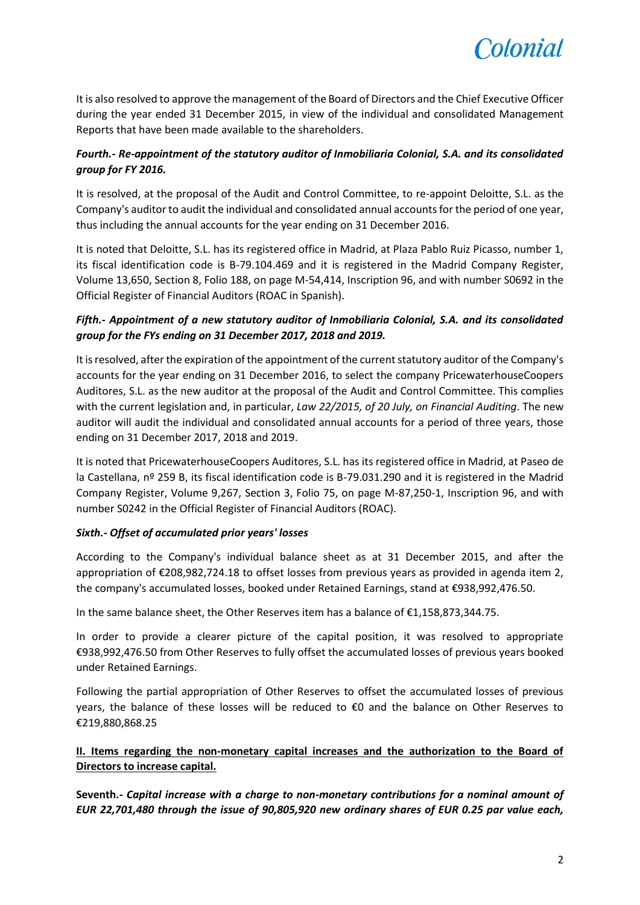

It is also resolved to approve the management of the Board of Directors and the Chief Executive Officer during the year ended 31 December 2015, in view of the individual and consolidated Management Reports that have been made available to the shareholders.

# *Fourth.- Re-appointment of the statutory auditor of Inmobiliaria Colonial, S.A. and its consolidated group for FY 2016.*

It is resolved, at the proposal of the Audit and Control Committee, to re-appoint Deloitte, S.L. as the Company's auditor to audit the individual and consolidated annual accounts for the period of one year, thus including the annual accounts for the year ending on 31 December 2016.

It is noted that Deloitte, S.L. has its registered office in Madrid, at Plaza Pablo Ruiz Picasso, number 1, its fiscal identification code is B-79.104.469 and it is registered in the Madrid Company Register, Volume 13,650, Section 8, Folio 188, on page M-54,414, Inscription 96, and with number S0692 in the Official Register of Financial Auditors (ROAC in Spanish).

# *Fifth.- Appointment of a new statutory auditor of Inmobiliaria Colonial, S.A. and its consolidated group for the FYs ending on 31 December 2017, 2018 and 2019.*

It is resolved, after the expiration of the appointment of the current statutory auditor of the Company's accounts for the year ending on 31 December 2016, to select the company PricewaterhouseCoopers Auditores, S.L. as the new auditor at the proposal of the Audit and Control Committee. This complies with the current legislation and, in particular, *Law 22/2015, of 20 July, on Financial Auditing*. The new auditor will audit the individual and consolidated annual accounts for a period of three years, those ending on 31 December 2017, 2018 and 2019.

It is noted that PricewaterhouseCoopers Auditores, S.L. has its registered office in Madrid, at Paseo de la Castellana, nº 259 B, its fiscal identification code is B-79.031.290 and it is registered in the Madrid Company Register, Volume 9,267, Section 3, Folio 75, on page M-87,250-1, Inscription 96, and with number S0242 in the Official Register of Financial Auditors (ROAC).

## *Sixth.- Offset of accumulated prior years' losses*

According to the Company's individual balance sheet as at 31 December 2015, and after the appropriation of €208,982,724.18 to offset losses from previous years as provided in agenda item 2, the company's accumulated losses, booked under Retained Earnings, stand at €938,992,476.50.

In the same balance sheet, the Other Reserves item has a balance of €1,158,873,344.75.

In order to provide a clearer picture of the capital position, it was resolved to appropriate €938,992,476.50 from Other Reserves to fully offset the accumulated losses of previous years booked under Retained Earnings.

Following the partial appropriation of Other Reserves to offset the accumulated losses of previous years, the balance of these losses will be reduced to €0 and the balance on Other Reserves to €219,880,868.25

# **II. Items regarding the non-monetary capital increases and the authorization to the Board of Directors to increase capital.**

**Seventh.-** *Capital increase with a charge to non-monetary contributions for a nominal amount of EUR 22,701,480 through the issue of 90,805,920 new ordinary shares of EUR 0.25 par value each,*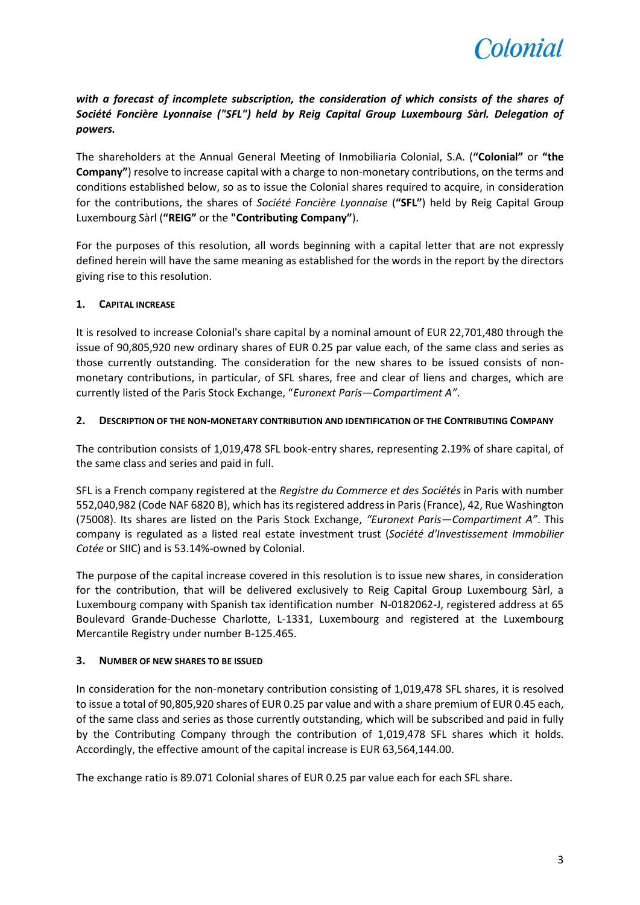

# *with a forecast of incomplete subscription, the consideration of which consists of the shares of Société Foncière Lyonnaise ("SFL") held by Reig Capital Group Luxembourg Sàrl. Delegation of powers.*

The shareholders at the Annual General Meeting of Inmobiliaria Colonial, S.A. (**"Colonial"** or **"the Company"**) resolve to increase capital with a charge to non-monetary contributions, on the terms and conditions established below, so as to issue the Colonial shares required to acquire, in consideration for the contributions, the shares of *Société Foncière Lyonnaise* (**"SFL"**) held by Reig Capital Group Luxembourg Sàrl (**"REIG"** or the **"Contributing Company"**).

For the purposes of this resolution, all words beginning with a capital letter that are not expressly defined herein will have the same meaning as established for the words in the report by the directors giving rise to this resolution.

## **1. CAPITAL INCREASE**

It is resolved to increase Colonial's share capital by a nominal amount of EUR 22,701,480 through the issue of 90,805,920 new ordinary shares of EUR 0.25 par value each, of the same class and series as those currently outstanding. The consideration for the new shares to be issued consists of nonmonetary contributions, in particular, of SFL shares, free and clear of liens and charges, which are currently listed of the Paris Stock Exchange, "*Euronext Paris*—*Compartiment A"*.

## **2. DESCRIPTION OF THE NON-MONETARY CONTRIBUTION AND IDENTIFICATION OF THE CONTRIBUTING COMPANY**

The contribution consists of 1,019,478 SFL book-entry shares, representing 2.19% of share capital, of the same class and series and paid in full.

SFL is a French company registered at the *Registre du Commerce et des Sociétés* in Paris with number 552,040,982 (Code NAF 6820 B), which has its registered address in Paris (France), 42, Rue Washington (75008). Its shares are listed on the Paris Stock Exchange, *"Euronext Paris—Compartiment A"*. This company is regulated as a listed real estate investment trust (*Société d'Investissement Immobilier Cotée* or SIIC) and is 53.14%-owned by Colonial.

The purpose of the capital increase covered in this resolution is to issue new shares, in consideration for the contribution, that will be delivered exclusively to Reig Capital Group Luxembourg Sàrl, a Luxembourg company with Spanish tax identification number N-0182062-J, registered address at 65 Boulevard Grande-Duchesse Charlotte, L-1331, Luxembourg and registered at the Luxembourg Mercantile Registry under number B-125.465.

## **3. NUMBER OF NEW SHARES TO BE ISSUED**

In consideration for the non-monetary contribution consisting of 1,019,478 SFL shares, it is resolved to issue a total of 90,805,920 shares of EUR 0.25 par value and with a share premium of EUR 0.45 each, of the same class and series as those currently outstanding, which will be subscribed and paid in fully by the Contributing Company through the contribution of 1,019,478 SFL shares which it holds. Accordingly, the effective amount of the capital increase is EUR 63,564,144.00.

The exchange ratio is 89.071 Colonial shares of EUR 0.25 par value each for each SFL share.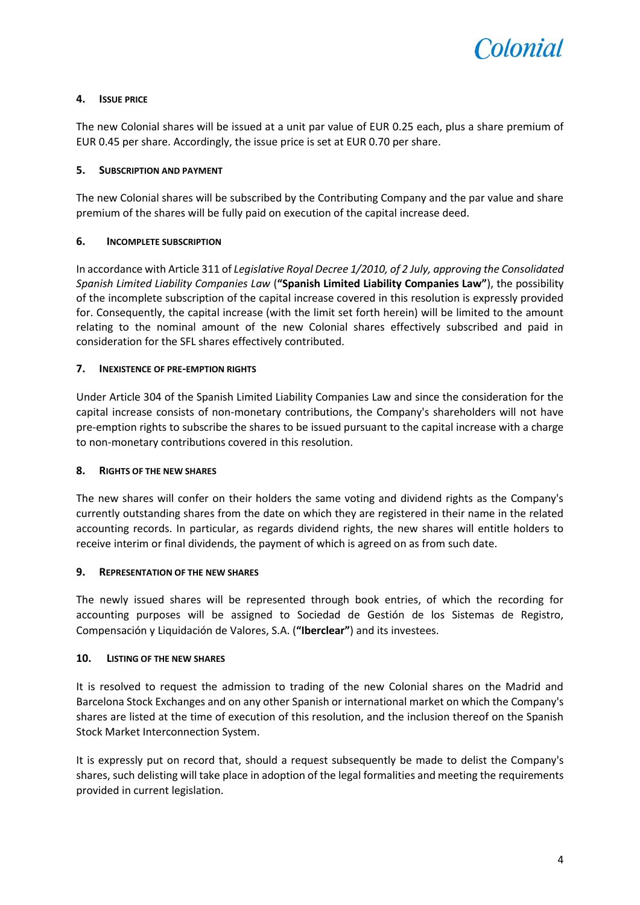

## **4. ISSUE PRICE**

The new Colonial shares will be issued at a unit par value of EUR 0.25 each, plus a share premium of EUR 0.45 per share. Accordingly, the issue price is set at EUR 0.70 per share.

## **5. SUBSCRIPTION AND PAYMENT**

The new Colonial shares will be subscribed by the Contributing Company and the par value and share premium of the shares will be fully paid on execution of the capital increase deed.

## **6. INCOMPLETE SUBSCRIPTION**

In accordance with Article 311 of *Legislative Royal Decree 1/2010, of 2 July, approving the Consolidated Spanish Limited Liability Companies Law* (**"Spanish Limited Liability Companies Law"**), the possibility of the incomplete subscription of the capital increase covered in this resolution is expressly provided for. Consequently, the capital increase (with the limit set forth herein) will be limited to the amount relating to the nominal amount of the new Colonial shares effectively subscribed and paid in consideration for the SFL shares effectively contributed.

## **7. INEXISTENCE OF PRE-EMPTION RIGHTS**

Under Article 304 of the Spanish Limited Liability Companies Law and since the consideration for the capital increase consists of non-monetary contributions, the Company's shareholders will not have pre-emption rights to subscribe the shares to be issued pursuant to the capital increase with a charge to non-monetary contributions covered in this resolution.

## **8. RIGHTS OF THE NEW SHARES**

The new shares will confer on their holders the same voting and dividend rights as the Company's currently outstanding shares from the date on which they are registered in their name in the related accounting records. In particular, as regards dividend rights, the new shares will entitle holders to receive interim or final dividends, the payment of which is agreed on as from such date.

## **9. REPRESENTATION OF THE NEW SHARES**

The newly issued shares will be represented through book entries, of which the recording for accounting purposes will be assigned to Sociedad de Gestión de los Sistemas de Registro, Compensación y Liquidación de Valores, S.A. (**"Iberclear"**) and its investees.

## **10. LISTING OF THE NEW SHARES**

It is resolved to request the admission to trading of the new Colonial shares on the Madrid and Barcelona Stock Exchanges and on any other Spanish or international market on which the Company's shares are listed at the time of execution of this resolution, and the inclusion thereof on the Spanish Stock Market Interconnection System.

It is expressly put on record that, should a request subsequently be made to delist the Company's shares, such delisting will take place in adoption of the legal formalities and meeting the requirements provided in current legislation.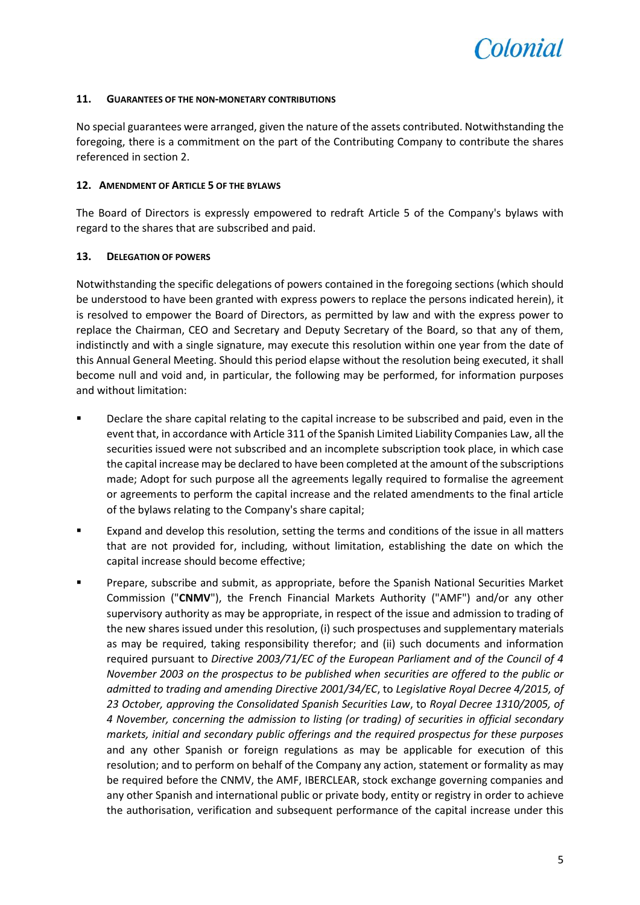

#### **11. GUARANTEES OF THE NON-MONETARY CONTRIBUTIONS**

No special guarantees were arranged, given the nature of the assets contributed. Notwithstanding the foregoing, there is a commitment on the part of the Contributing Company to contribute the shares referenced in section 2.

#### **12. AMENDMENT OF ARTICLE 5 OF THE BYLAWS**

The Board of Directors is expressly empowered to redraft Article 5 of the Company's bylaws with regard to the shares that are subscribed and paid.

## **13. DELEGATION OF POWERS**

Notwithstanding the specific delegations of powers contained in the foregoing sections (which should be understood to have been granted with express powers to replace the persons indicated herein), it is resolved to empower the Board of Directors, as permitted by law and with the express power to replace the Chairman, CEO and Secretary and Deputy Secretary of the Board, so that any of them, indistinctly and with a single signature, may execute this resolution within one year from the date of this Annual General Meeting. Should this period elapse without the resolution being executed, it shall become null and void and, in particular, the following may be performed, for information purposes and without limitation:

- Declare the share capital relating to the capital increase to be subscribed and paid, even in the event that, in accordance with Article 311 of the Spanish Limited Liability Companies Law, all the securities issued were not subscribed and an incomplete subscription took place, in which case the capital increase may be declared to have been completed at the amount of the subscriptions made; Adopt for such purpose all the agreements legally required to formalise the agreement or agreements to perform the capital increase and the related amendments to the final article of the bylaws relating to the Company's share capital;
- Expand and develop this resolution, setting the terms and conditions of the issue in all matters that are not provided for, including, without limitation, establishing the date on which the capital increase should become effective;
- Prepare, subscribe and submit, as appropriate, before the Spanish National Securities Market Commission ("**CNMV**"), the French Financial Markets Authority ("AMF") and/or any other supervisory authority as may be appropriate, in respect of the issue and admission to trading of the new shares issued under this resolution, (i) such prospectuses and supplementary materials as may be required, taking responsibility therefor; and (ii) such documents and information required pursuant to *Directive 2003/71/EC of the European Parliament and of the Council of 4 November 2003 on the prospectus to be published when securities are offered to the public or admitted to trading and amending Directive 2001/34/EC*, to *Legislative Royal Decree 4/2015, of 23 October, approving the Consolidated Spanish Securities Law*, to *Royal Decree 1310/2005, of 4 November, concerning the admission to listing (or trading) of securities in official secondary markets, initial and secondary public offerings and the required prospectus for these purposes* and any other Spanish or foreign regulations as may be applicable for execution of this resolution; and to perform on behalf of the Company any action, statement or formality as may be required before the CNMV, the AMF, IBERCLEAR, stock exchange governing companies and any other Spanish and international public or private body, entity or registry in order to achieve the authorisation, verification and subsequent performance of the capital increase under this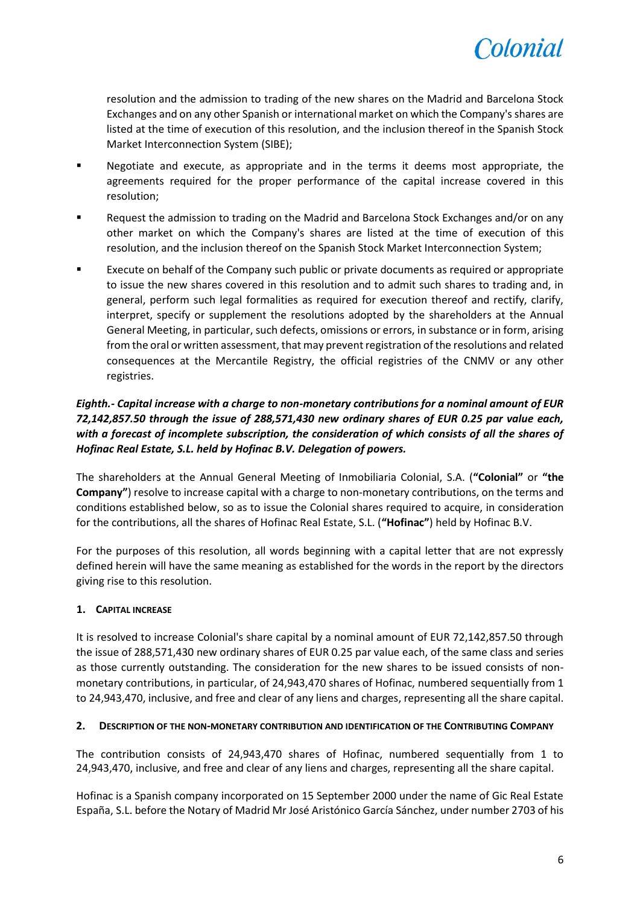

resolution and the admission to trading of the new shares on the Madrid and Barcelona Stock Exchanges and on any other Spanish or international market on which the Company's shares are listed at the time of execution of this resolution, and the inclusion thereof in the Spanish Stock Market Interconnection System (SIBE);

- Negotiate and execute, as appropriate and in the terms it deems most appropriate, the agreements required for the proper performance of the capital increase covered in this resolution;
- Request the admission to trading on the Madrid and Barcelona Stock Exchanges and/or on any other market on which the Company's shares are listed at the time of execution of this resolution, and the inclusion thereof on the Spanish Stock Market Interconnection System;
- Execute on behalf of the Company such public or private documents as required or appropriate to issue the new shares covered in this resolution and to admit such shares to trading and, in general, perform such legal formalities as required for execution thereof and rectify, clarify, interpret, specify or supplement the resolutions adopted by the shareholders at the Annual General Meeting, in particular, such defects, omissions or errors, in substance or in form, arising from the oral or written assessment, that may prevent registration of the resolutions and related consequences at the Mercantile Registry, the official registries of the CNMV or any other registries.

# *Eighth.- Capital increase with a charge to non-monetary contributions for a nominal amount of EUR 72,142,857.50 through the issue of 288,571,430 new ordinary shares of EUR 0.25 par value each, with a forecast of incomplete subscription, the consideration of which consists of all the shares of Hofinac Real Estate, S.L. held by Hofinac B.V. Delegation of powers.*

The shareholders at the Annual General Meeting of Inmobiliaria Colonial, S.A. (**"Colonial"** or **"the Company"**) resolve to increase capital with a charge to non-monetary contributions, on the terms and conditions established below, so as to issue the Colonial shares required to acquire, in consideration for the contributions, all the shares of Hofinac Real Estate, S.L. (**"Hofinac"**) held by Hofinac B.V.

For the purposes of this resolution, all words beginning with a capital letter that are not expressly defined herein will have the same meaning as established for the words in the report by the directors giving rise to this resolution.

## **1. CAPITAL INCREASE**

It is resolved to increase Colonial's share capital by a nominal amount of EUR 72,142,857.50 through the issue of 288,571,430 new ordinary shares of EUR 0.25 par value each, of the same class and series as those currently outstanding. The consideration for the new shares to be issued consists of nonmonetary contributions, in particular, of 24,943,470 shares of Hofinac, numbered sequentially from 1 to 24,943,470, inclusive, and free and clear of any liens and charges, representing all the share capital.

## **2. DESCRIPTION OF THE NON-MONETARY CONTRIBUTION AND IDENTIFICATION OF THE CONTRIBUTING COMPANY**

The contribution consists of 24,943,470 shares of Hofinac, numbered sequentially from 1 to 24,943,470, inclusive, and free and clear of any liens and charges, representing all the share capital.

Hofinac is a Spanish company incorporated on 15 September 2000 under the name of Gic Real Estate España, S.L. before the Notary of Madrid Mr José Aristónico García Sánchez, under number 2703 of his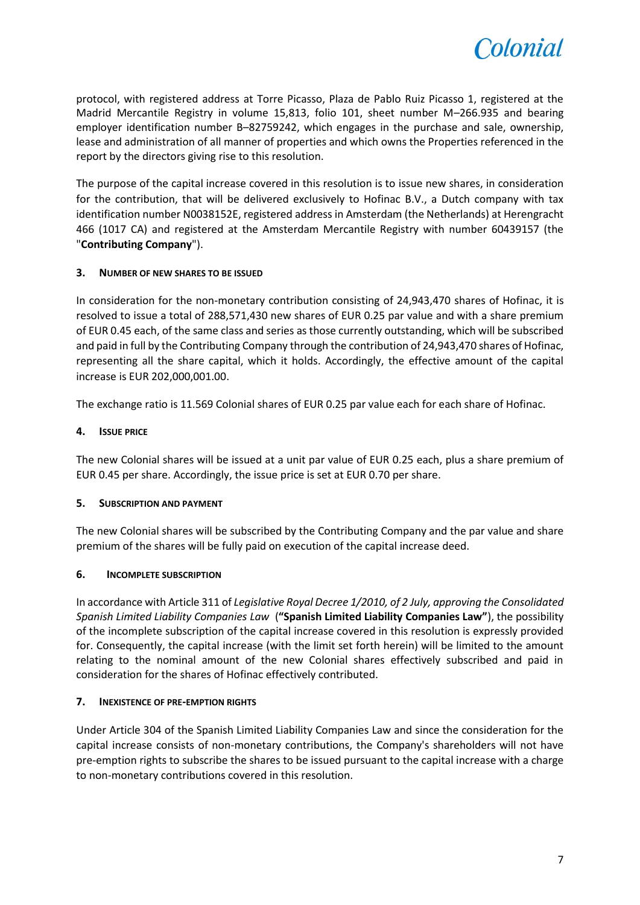

protocol, with registered address at Torre Picasso, Plaza de Pablo Ruiz Picasso 1, registered at the Madrid Mercantile Registry in volume 15,813, folio 101, sheet number M–266.935 and bearing employer identification number B–82759242, which engages in the purchase and sale, ownership, lease and administration of all manner of properties and which owns the Properties referenced in the report by the directors giving rise to this resolution.

The purpose of the capital increase covered in this resolution is to issue new shares, in consideration for the contribution, that will be delivered exclusively to Hofinac B.V., a Dutch company with tax identification number N0038152E, registered address in Amsterdam (the Netherlands) at Herengracht 466 (1017 CA) and registered at the Amsterdam Mercantile Registry with number 60439157 (the "**Contributing Company**").

## **3. NUMBER OF NEW SHARES TO BE ISSUED**

In consideration for the non-monetary contribution consisting of 24,943,470 shares of Hofinac, it is resolved to issue a total of 288,571,430 new shares of EUR 0.25 par value and with a share premium of EUR 0.45 each, of the same class and series as those currently outstanding, which will be subscribed and paid in full by the Contributing Company through the contribution of 24,943,470 shares of Hofinac, representing all the share capital, which it holds. Accordingly, the effective amount of the capital increase is EUR 202,000,001.00.

The exchange ratio is 11.569 Colonial shares of EUR 0.25 par value each for each share of Hofinac.

## **4. ISSUE PRICE**

The new Colonial shares will be issued at a unit par value of EUR 0.25 each, plus a share premium of EUR 0.45 per share. Accordingly, the issue price is set at EUR 0.70 per share.

## **5. SUBSCRIPTION AND PAYMENT**

The new Colonial shares will be subscribed by the Contributing Company and the par value and share premium of the shares will be fully paid on execution of the capital increase deed.

## **6. INCOMPLETE SUBSCRIPTION**

In accordance with Article 311 of *Legislative Royal Decree 1/2010, of 2 July, approving the Consolidated Spanish Limited Liability Companies Law* (**"Spanish Limited Liability Companies Law"**), the possibility of the incomplete subscription of the capital increase covered in this resolution is expressly provided for. Consequently, the capital increase (with the limit set forth herein) will be limited to the amount relating to the nominal amount of the new Colonial shares effectively subscribed and paid in consideration for the shares of Hofinac effectively contributed.

## **7. INEXISTENCE OF PRE-EMPTION RIGHTS**

Under Article 304 of the Spanish Limited Liability Companies Law and since the consideration for the capital increase consists of non-monetary contributions, the Company's shareholders will not have pre-emption rights to subscribe the shares to be issued pursuant to the capital increase with a charge to non-monetary contributions covered in this resolution.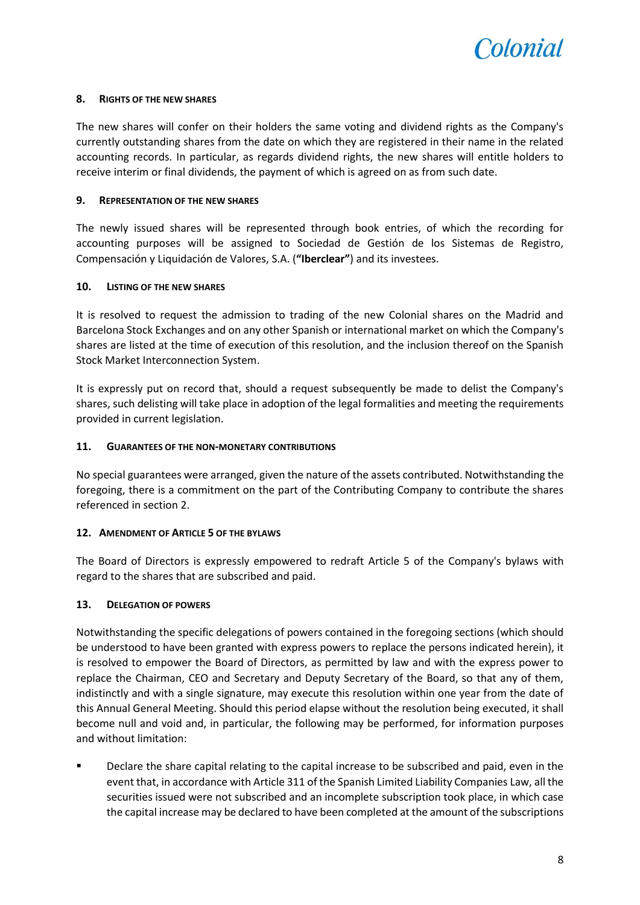

## **8. RIGHTS OF THE NEW SHARES**

The new shares will confer on their holders the same voting and dividend rights as the Company's currently outstanding shares from the date on which they are registered in their name in the related accounting records. In particular, as regards dividend rights, the new shares will entitle holders to receive interim or final dividends, the payment of which is agreed on as from such date.

#### **9. REPRESENTATION OF THE NEW SHARES**

The newly issued shares will be represented through book entries, of which the recording for accounting purposes will be assigned to Sociedad de Gestión de los Sistemas de Registro, Compensación y Liquidación de Valores, S.A. (**"Iberclear"**) and its investees.

#### **10. LISTING OF THE NEW SHARES**

It is resolved to request the admission to trading of the new Colonial shares on the Madrid and Barcelona Stock Exchanges and on any other Spanish or international market on which the Company's shares are listed at the time of execution of this resolution, and the inclusion thereof on the Spanish Stock Market Interconnection System.

It is expressly put on record that, should a request subsequently be made to delist the Company's shares, such delisting will take place in adoption of the legal formalities and meeting the requirements provided in current legislation.

#### **11. GUARANTEES OF THE NON-MONETARY CONTRIBUTIONS**

No special guarantees were arranged, given the nature of the assets contributed. Notwithstanding the foregoing, there is a commitment on the part of the Contributing Company to contribute the shares referenced in section 2.

## **12. AMENDMENT OF ARTICLE 5 OF THE BYLAWS**

The Board of Directors is expressly empowered to redraft Article 5 of the Company's bylaws with regard to the shares that are subscribed and paid.

## **13. DELEGATION OF POWERS**

Notwithstanding the specific delegations of powers contained in the foregoing sections (which should be understood to have been granted with express powers to replace the persons indicated herein), it is resolved to empower the Board of Directors, as permitted by law and with the express power to replace the Chairman, CEO and Secretary and Deputy Secretary of the Board, so that any of them, indistinctly and with a single signature, may execute this resolution within one year from the date of this Annual General Meeting. Should this period elapse without the resolution being executed, it shall become null and void and, in particular, the following may be performed, for information purposes and without limitation:

 Declare the share capital relating to the capital increase to be subscribed and paid, even in the event that, in accordance with Article 311 of the Spanish Limited Liability Companies Law, all the securities issued were not subscribed and an incomplete subscription took place, in which case the capital increase may be declared to have been completed at the amount of the subscriptions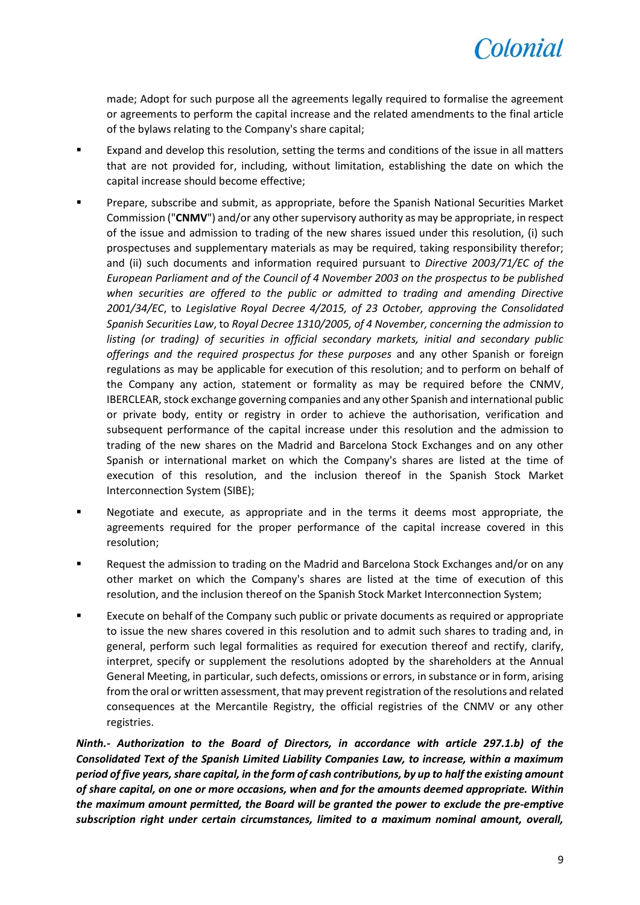

made; Adopt for such purpose all the agreements legally required to formalise the agreement or agreements to perform the capital increase and the related amendments to the final article of the bylaws relating to the Company's share capital;

- Expand and develop this resolution, setting the terms and conditions of the issue in all matters that are not provided for, including, without limitation, establishing the date on which the capital increase should become effective;
- Prepare, subscribe and submit, as appropriate, before the Spanish National Securities Market Commission ("**CNMV**") and/or any other supervisory authority as may be appropriate, in respect of the issue and admission to trading of the new shares issued under this resolution, (i) such prospectuses and supplementary materials as may be required, taking responsibility therefor; and (ii) such documents and information required pursuant to *Directive 2003/71/EC of the European Parliament and of the Council of 4 November 2003 on the prospectus to be published when securities are offered to the public or admitted to trading and amending Directive 2001/34/EC*, to *Legislative Royal Decree 4/2015, of 23 October, approving the Consolidated Spanish Securities Law*, to *Royal Decree 1310/2005, of 4 November, concerning the admission to listing (or trading) of securities in official secondary markets, initial and secondary public offerings and the required prospectus for these purposes* and any other Spanish or foreign regulations as may be applicable for execution of this resolution; and to perform on behalf of the Company any action, statement or formality as may be required before the CNMV, IBERCLEAR, stock exchange governing companies and any other Spanish and international public or private body, entity or registry in order to achieve the authorisation, verification and subsequent performance of the capital increase under this resolution and the admission to trading of the new shares on the Madrid and Barcelona Stock Exchanges and on any other Spanish or international market on which the Company's shares are listed at the time of execution of this resolution, and the inclusion thereof in the Spanish Stock Market Interconnection System (SIBE);
- Negotiate and execute, as appropriate and in the terms it deems most appropriate, the agreements required for the proper performance of the capital increase covered in this resolution;
- **Request the admission to trading on the Madrid and Barcelona Stock Exchanges and/or on any** other market on which the Company's shares are listed at the time of execution of this resolution, and the inclusion thereof on the Spanish Stock Market Interconnection System;
- Execute on behalf of the Company such public or private documents as required or appropriate to issue the new shares covered in this resolution and to admit such shares to trading and, in general, perform such legal formalities as required for execution thereof and rectify, clarify, interpret, specify or supplement the resolutions adopted by the shareholders at the Annual General Meeting, in particular, such defects, omissions or errors, in substance or in form, arising from the oral or written assessment, that may prevent registration of the resolutions and related consequences at the Mercantile Registry, the official registries of the CNMV or any other registries.

*Ninth.- Authorization to the Board of Directors, in accordance with article 297.1.b) of the Consolidated Text of the Spanish Limited Liability Companies Law, to increase, within a maximum period of five years, share capital, in the form of cash contributions, by up to half the existing amount of share capital, on one or more occasions, when and for the amounts deemed appropriate. Within the maximum amount permitted, the Board will be granted the power to exclude the pre-emptive subscription right under certain circumstances, limited to a maximum nominal amount, overall,*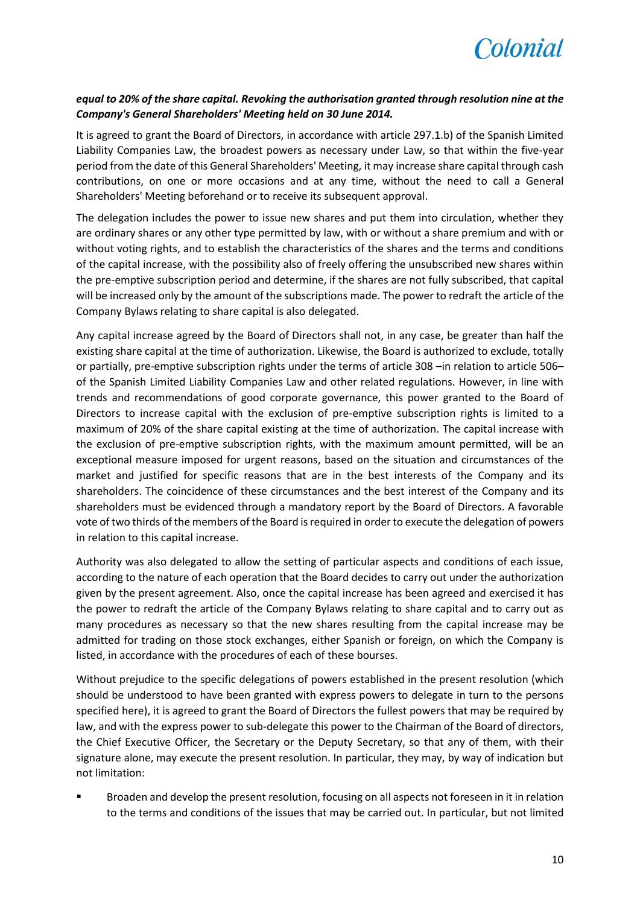

## *equal to 20% of the share capital. Revoking the authorisation granted through resolution nine at the Company's General Shareholders' Meeting held on 30 June 2014.*

It is agreed to grant the Board of Directors, in accordance with article 297.1.b) of the Spanish Limited Liability Companies Law, the broadest powers as necessary under Law, so that within the five-year period from the date of this General Shareholders' Meeting, it may increase share capital through cash contributions, on one or more occasions and at any time, without the need to call a General Shareholders' Meeting beforehand or to receive its subsequent approval.

The delegation includes the power to issue new shares and put them into circulation, whether they are ordinary shares or any other type permitted by law, with or without a share premium and with or without voting rights, and to establish the characteristics of the shares and the terms and conditions of the capital increase, with the possibility also of freely offering the unsubscribed new shares within the pre-emptive subscription period and determine, if the shares are not fully subscribed, that capital will be increased only by the amount of the subscriptions made. The power to redraft the article of the Company Bylaws relating to share capital is also delegated.

Any capital increase agreed by the Board of Directors shall not, in any case, be greater than half the existing share capital at the time of authorization. Likewise, the Board is authorized to exclude, totally or partially, pre-emptive subscription rights under the terms of article 308 –in relation to article 506– of the Spanish Limited Liability Companies Law and other related regulations. However, in line with trends and recommendations of good corporate governance, this power granted to the Board of Directors to increase capital with the exclusion of pre-emptive subscription rights is limited to a maximum of 20% of the share capital existing at the time of authorization. The capital increase with the exclusion of pre-emptive subscription rights, with the maximum amount permitted, will be an exceptional measure imposed for urgent reasons, based on the situation and circumstances of the market and justified for specific reasons that are in the best interests of the Company and its shareholders. The coincidence of these circumstances and the best interest of the Company and its shareholders must be evidenced through a mandatory report by the Board of Directors. A favorable vote of two thirds of the members of the Board is required in order to execute the delegation of powers in relation to this capital increase.

Authority was also delegated to allow the setting of particular aspects and conditions of each issue, according to the nature of each operation that the Board decides to carry out under the authorization given by the present agreement. Also, once the capital increase has been agreed and exercised it has the power to redraft the article of the Company Bylaws relating to share capital and to carry out as many procedures as necessary so that the new shares resulting from the capital increase may be admitted for trading on those stock exchanges, either Spanish or foreign, on which the Company is listed, in accordance with the procedures of each of these bourses.

Without prejudice to the specific delegations of powers established in the present resolution (which should be understood to have been granted with express powers to delegate in turn to the persons specified here), it is agreed to grant the Board of Directors the fullest powers that may be required by law, and with the express power to sub-delegate this power to the Chairman of the Board of directors, the Chief Executive Officer, the Secretary or the Deputy Secretary, so that any of them, with their signature alone, may execute the present resolution. In particular, they may, by way of indication but not limitation:

 Broaden and develop the present resolution, focusing on all aspects not foreseen in it in relation to the terms and conditions of the issues that may be carried out. In particular, but not limited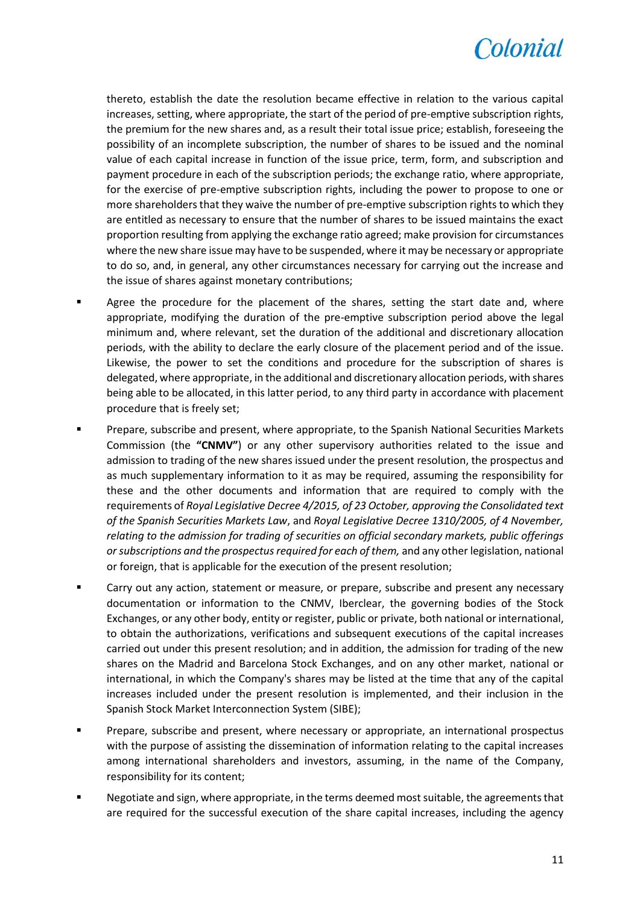

thereto, establish the date the resolution became effective in relation to the various capital increases, setting, where appropriate, the start of the period of pre-emptive subscription rights, the premium for the new shares and, as a result their total issue price; establish, foreseeing the possibility of an incomplete subscription, the number of shares to be issued and the nominal value of each capital increase in function of the issue price, term, form, and subscription and payment procedure in each of the subscription periods; the exchange ratio, where appropriate, for the exercise of pre-emptive subscription rights, including the power to propose to one or more shareholders that they waive the number of pre-emptive subscription rights to which they are entitled as necessary to ensure that the number of shares to be issued maintains the exact proportion resulting from applying the exchange ratio agreed; make provision for circumstances where the new share issue may have to be suspended, where it may be necessary or appropriate to do so, and, in general, any other circumstances necessary for carrying out the increase and the issue of shares against monetary contributions;

- Agree the procedure for the placement of the shares, setting the start date and, where appropriate, modifying the duration of the pre-emptive subscription period above the legal minimum and, where relevant, set the duration of the additional and discretionary allocation periods, with the ability to declare the early closure of the placement period and of the issue. Likewise, the power to set the conditions and procedure for the subscription of shares is delegated, where appropriate, in the additional and discretionary allocation periods, with shares being able to be allocated, in this latter period, to any third party in accordance with placement procedure that is freely set;
- **Prepare, subscribe and present, where appropriate, to the Spanish National Securities Markets** Commission (the **"CNMV"**) or any other supervisory authorities related to the issue and admission to trading of the new shares issued under the present resolution, the prospectus and as much supplementary information to it as may be required, assuming the responsibility for these and the other documents and information that are required to comply with the requirements of *Royal Legislative Decree 4/2015, of 23 October, approving the Consolidated text of the Spanish Securities Markets Law*, and *Royal Legislative Decree 1310/2005, of 4 November, relating to the admission for trading of securities on official secondary markets, public offerings or subscriptions and the prospectus required for each of them,* and any other legislation, national or foreign, that is applicable for the execution of the present resolution;
- Carry out any action, statement or measure, or prepare, subscribe and present any necessary documentation or information to the CNMV, Iberclear, the governing bodies of the Stock Exchanges, or any other body, entity or register, public or private, both national or international, to obtain the authorizations, verifications and subsequent executions of the capital increases carried out under this present resolution; and in addition, the admission for trading of the new shares on the Madrid and Barcelona Stock Exchanges, and on any other market, national or international, in which the Company's shares may be listed at the time that any of the capital increases included under the present resolution is implemented, and their inclusion in the Spanish Stock Market Interconnection System (SIBE);
- Prepare, subscribe and present, where necessary or appropriate, an international prospectus with the purpose of assisting the dissemination of information relating to the capital increases among international shareholders and investors, assuming, in the name of the Company, responsibility for its content;
- Negotiate and sign, where appropriate, in the terms deemed most suitable, the agreements that are required for the successful execution of the share capital increases, including the agency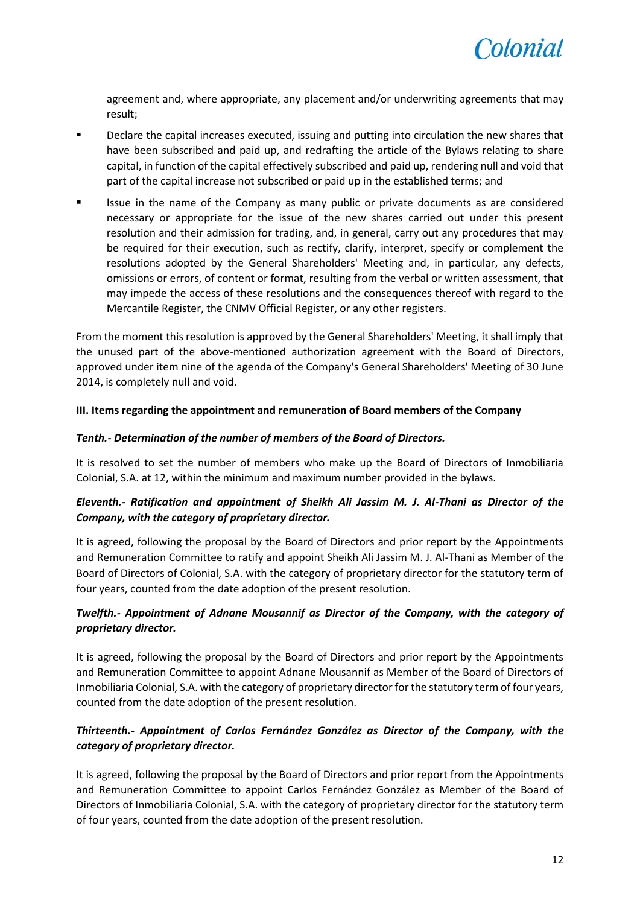

agreement and, where appropriate, any placement and/or underwriting agreements that may result;

- **Philter 2** Declare the capital increases executed, issuing and putting into circulation the new shares that have been subscribed and paid up, and redrafting the article of the Bylaws relating to share capital, in function of the capital effectively subscribed and paid up, rendering null and void that part of the capital increase not subscribed or paid up in the established terms; and
- Issue in the name of the Company as many public or private documents as are considered necessary or appropriate for the issue of the new shares carried out under this present resolution and their admission for trading, and, in general, carry out any procedures that may be required for their execution, such as rectify, clarify, interpret, specify or complement the resolutions adopted by the General Shareholders' Meeting and, in particular, any defects, omissions or errors, of content or format, resulting from the verbal or written assessment, that may impede the access of these resolutions and the consequences thereof with regard to the Mercantile Register, the CNMV Official Register, or any other registers.

From the moment this resolution is approved by the General Shareholders' Meeting, it shall imply that the unused part of the above-mentioned authorization agreement with the Board of Directors, approved under item nine of the agenda of the Company's General Shareholders' Meeting of 30 June 2014, is completely null and void.

## **III. Items regarding the appointment and remuneration of Board members of the Company**

## *Tenth.- Determination of the number of members of the Board of Directors.*

It is resolved to set the number of members who make up the Board of Directors of Inmobiliaria Colonial, S.A. at 12, within the minimum and maximum number provided in the bylaws.

# *Eleventh.- Ratification and appointment of Sheikh Ali Jassim M. J. Al-Thani as Director of the Company, with the category of proprietary director.*

It is agreed, following the proposal by the Board of Directors and prior report by the Appointments and Remuneration Committee to ratify and appoint Sheikh Ali Jassim M. J. Al-Thani as Member of the Board of Directors of Colonial, S.A. with the category of proprietary director for the statutory term of four years, counted from the date adoption of the present resolution.

# *Twelfth.- Appointment of Adnane Mousannif as Director of the Company, with the category of proprietary director.*

It is agreed, following the proposal by the Board of Directors and prior report by the Appointments and Remuneration Committee to appoint Adnane Mousannif as Member of the Board of Directors of Inmobiliaria Colonial, S.A. with the category of proprietary director for the statutory term of four years, counted from the date adoption of the present resolution.

# *Thirteenth.- Appointment of Carlos Fernández González as Director of the Company, with the category of proprietary director.*

It is agreed, following the proposal by the Board of Directors and prior report from the Appointments and Remuneration Committee to appoint Carlos Fernández González as Member of the Board of Directors of Inmobiliaria Colonial, S.A. with the category of proprietary director for the statutory term of four years, counted from the date adoption of the present resolution.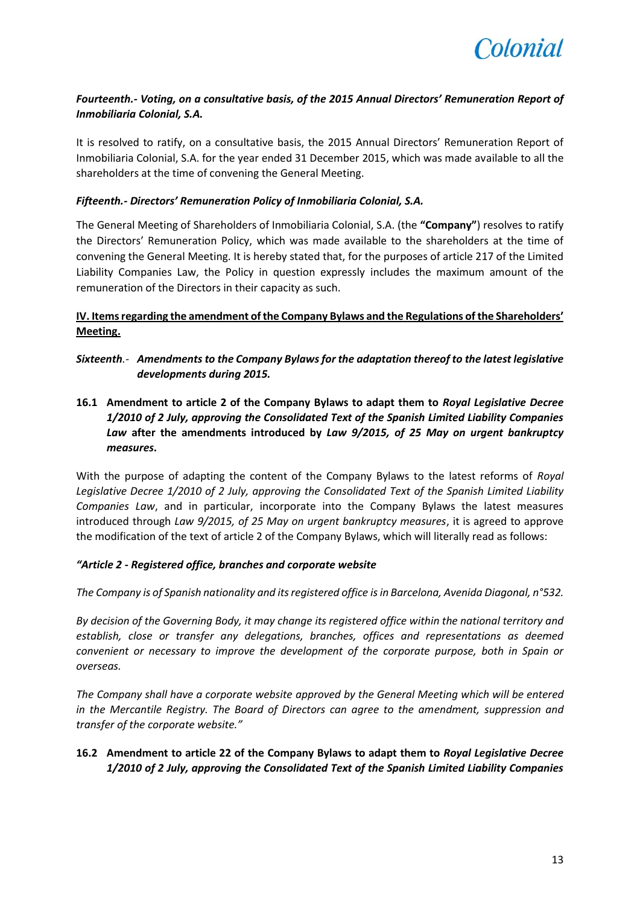

# *Fourteenth.- Voting, on a consultative basis, of the 2015 Annual Directors' Remuneration Report of Inmobiliaria Colonial, S.A.*

It is resolved to ratify, on a consultative basis, the 2015 Annual Directors' Remuneration Report of Inmobiliaria Colonial, S.A. for the year ended 31 December 2015, which was made available to all the shareholders at the time of convening the General Meeting.

## *Fifteenth.- Directors' Remuneration Policy of Inmobiliaria Colonial, S.A.*

The General Meeting of Shareholders of Inmobiliaria Colonial, S.A. (the **"Company"**) resolves to ratify the Directors' Remuneration Policy, which was made available to the shareholders at the time of convening the General Meeting. It is hereby stated that, for the purposes of article 217 of the Limited Liability Companies Law, the Policy in question expressly includes the maximum amount of the remuneration of the Directors in their capacity as such.

## **IV. Items regarding the amendment of the Company Bylaws and the Regulations of the Shareholders' Meeting.**

- *Sixteenth.- Amendments to the Company Bylaws for the adaptation thereof to the latest legislative developments during 2015.*
- **16.1 Amendment to article 2 of the Company Bylaws to adapt them to** *Royal Legislative Decree 1/2010 of 2 July, approving the Consolidated Text of the Spanish Limited Liability Companies Law* **after the amendments introduced by** *Law 9/2015, of 25 May on urgent bankruptcy measures***.**

With the purpose of adapting the content of the Company Bylaws to the latest reforms of *Royal Legislative Decree 1/2010 of 2 July, approving the Consolidated Text of the Spanish Limited Liability Companies Law*, and in particular, incorporate into the Company Bylaws the latest measures introduced through *Law 9/2015, of 25 May on urgent bankruptcy measures*, it is agreed to approve the modification of the text of article 2 of the Company Bylaws, which will literally read as follows:

## *"Article 2 - Registered office, branches and corporate website*

*The Company is of Spanish nationality and its registered office is in Barcelona, Avenida Diagonal, n°532.*

*By decision of the Governing Body, it may change its registered office within the national territory and establish, close or transfer any delegations, branches, offices and representations as deemed convenient or necessary to improve the development of the corporate purpose, both in Spain or overseas.*

*The Company shall have a corporate website approved by the General Meeting which will be entered in the Mercantile Registry. The Board of Directors can agree to the amendment, suppression and transfer of the corporate website."*

## **16.2 Amendment to article 22 of the Company Bylaws to adapt them to** *Royal Legislative Decree 1/2010 of 2 July, approving the Consolidated Text of the Spanish Limited Liability Companies*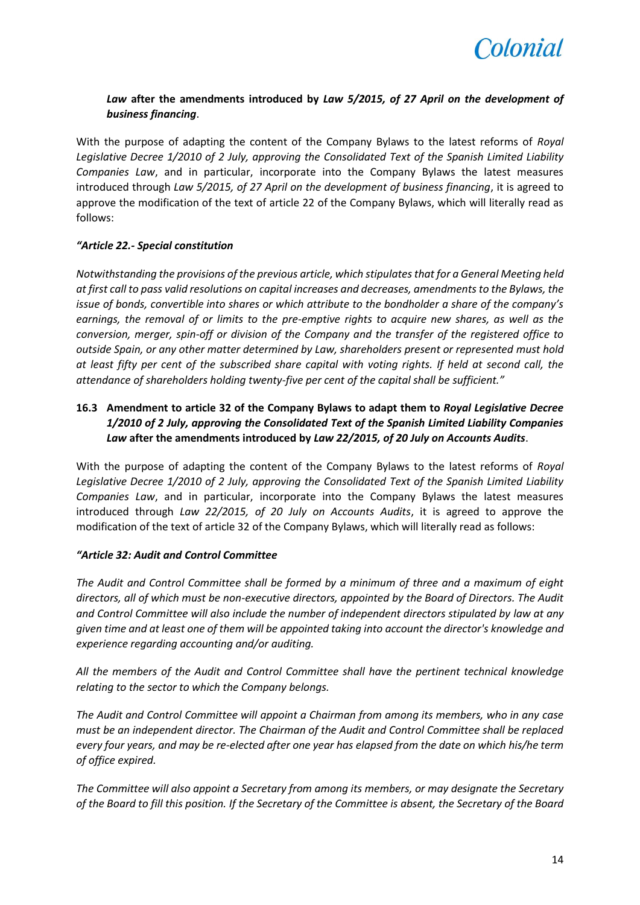

# *Law* **after the amendments introduced by** *Law 5/2015, of 27 April on the development of business financing*.

With the purpose of adapting the content of the Company Bylaws to the latest reforms of *Royal Legislative Decree 1/2010 of 2 July, approving the Consolidated Text of the Spanish Limited Liability Companies Law*, and in particular, incorporate into the Company Bylaws the latest measures introduced through *Law 5/2015, of 27 April on the development of business financing*, it is agreed to approve the modification of the text of article 22 of the Company Bylaws, which will literally read as follows:

## *"Article 22.- Special constitution*

*Notwithstanding the provisions of the previous article, which stipulates that for a General Meeting held at first call to pass valid resolutions on capital increases and decreases, amendments to the Bylaws, the issue of bonds, convertible into shares or which attribute to the bondholder a share of the company's earnings, the removal of or limits to the pre-emptive rights to acquire new shares, as well as the conversion, merger, spin-off or division of the Company and the transfer of the registered office to outside Spain, or any other matter determined by Law, shareholders present or represented must hold at least fifty per cent of the subscribed share capital with voting rights. If held at second call, the attendance of shareholders holding twenty-five per cent of the capital shall be sufficient."*

# **16.3 Amendment to article 32 of the Company Bylaws to adapt them to** *Royal Legislative Decree 1/2010 of 2 July, approving the Consolidated Text of the Spanish Limited Liability Companies Law* **after the amendments introduced by** *Law 22/2015, of 20 July on Accounts Audits*.

With the purpose of adapting the content of the Company Bylaws to the latest reforms of *Royal Legislative Decree 1/2010 of 2 July, approving the Consolidated Text of the Spanish Limited Liability Companies Law*, and in particular, incorporate into the Company Bylaws the latest measures introduced through *Law 22/2015, of 20 July on Accounts Audits*, it is agreed to approve the modification of the text of article 32 of the Company Bylaws, which will literally read as follows:

## *"Article 32: Audit and Control Committee*

*The Audit and Control Committee shall be formed by a minimum of three and a maximum of eight directors, all of which must be non-executive directors, appointed by the Board of Directors. The Audit and Control Committee will also include the number of independent directors stipulated by law at any given time and at least one of them will be appointed taking into account the director's knowledge and experience regarding accounting and/or auditing.*

*All the members of the Audit and Control Committee shall have the pertinent technical knowledge relating to the sector to which the Company belongs.*

*The Audit and Control Committee will appoint a Chairman from among its members, who in any case must be an independent director. The Chairman of the Audit and Control Committee shall be replaced every four years, and may be re-elected after one year has elapsed from the date on which his/he term of office expired.*

*The Committee will also appoint a Secretary from among its members, or may designate the Secretary of the Board to fill this position. If the Secretary of the Committee is absent, the Secretary of the Board*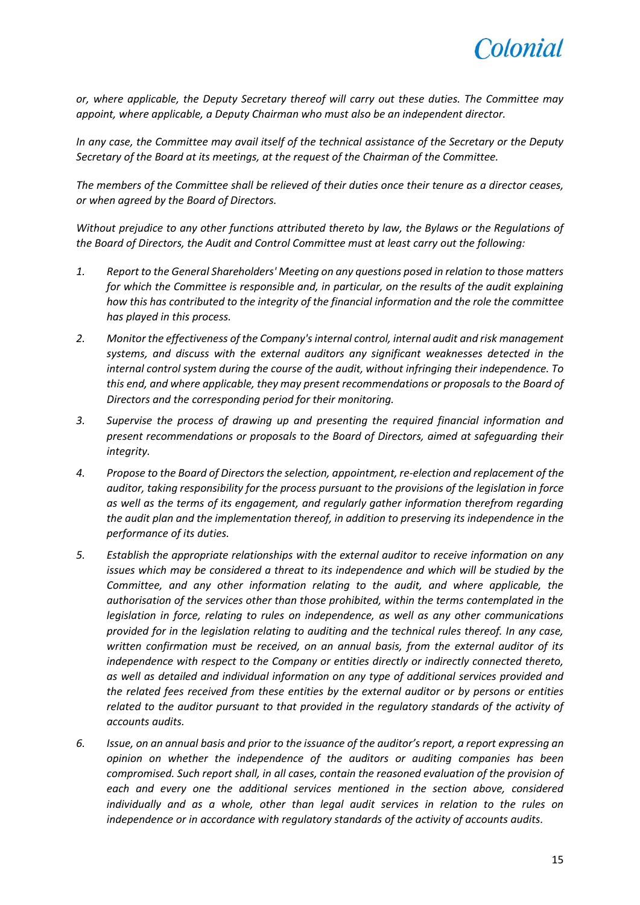

*or, where applicable, the Deputy Secretary thereof will carry out these duties. The Committee may appoint, where applicable, a Deputy Chairman who must also be an independent director.*

*In any case, the Committee may avail itself of the technical assistance of the Secretary or the Deputy Secretary of the Board at its meetings, at the request of the Chairman of the Committee.*

*The members of the Committee shall be relieved of their duties once their tenure as a director ceases, or when agreed by the Board of Directors.*

*Without prejudice to any other functions attributed thereto by law, the Bylaws or the Regulations of the Board of Directors, the Audit and Control Committee must at least carry out the following:*

- *1. Report to the General Shareholders' Meeting on any questions posed in relation to those matters for which the Committee is responsible and, in particular, on the results of the audit explaining how this has contributed to the integrity of the financial information and the role the committee has played in this process.*
- *2. Monitor the effectiveness of the Company's internal control, internal audit and risk management systems, and discuss with the external auditors any significant weaknesses detected in the internal control system during the course of the audit, without infringing their independence. To this end, and where applicable, they may present recommendations or proposals to the Board of Directors and the corresponding period for their monitoring.*
- *3. Supervise the process of drawing up and presenting the required financial information and present recommendations or proposals to the Board of Directors, aimed at safeguarding their integrity.*
- *4. Propose to the Board of Directors the selection, appointment, re-election and replacement of the auditor, taking responsibility for the process pursuant to the provisions of the legislation in force as well as the terms of its engagement, and regularly gather information therefrom regarding the audit plan and the implementation thereof, in addition to preserving its independence in the performance of its duties.*
- *5. Establish the appropriate relationships with the external auditor to receive information on any issues which may be considered a threat to its independence and which will be studied by the Committee, and any other information relating to the audit, and where applicable, the authorisation of the services other than those prohibited, within the terms contemplated in the legislation in force, relating to rules on independence, as well as any other communications provided for in the legislation relating to auditing and the technical rules thereof. In any case, written confirmation must be received, on an annual basis, from the external auditor of its independence with respect to the Company or entities directly or indirectly connected thereto, as well as detailed and individual information on any type of additional services provided and the related fees received from these entities by the external auditor or by persons or entities related to the auditor pursuant to that provided in the regulatory standards of the activity of accounts audits.*
- *6. Issue, on an annual basis and prior to the issuance of the auditor's report, a report expressing an opinion on whether the independence of the auditors or auditing companies has been compromised. Such report shall, in all cases, contain the reasoned evaluation of the provision of each and every one the additional services mentioned in the section above, considered individually and as a whole, other than legal audit services in relation to the rules on independence or in accordance with regulatory standards of the activity of accounts audits.*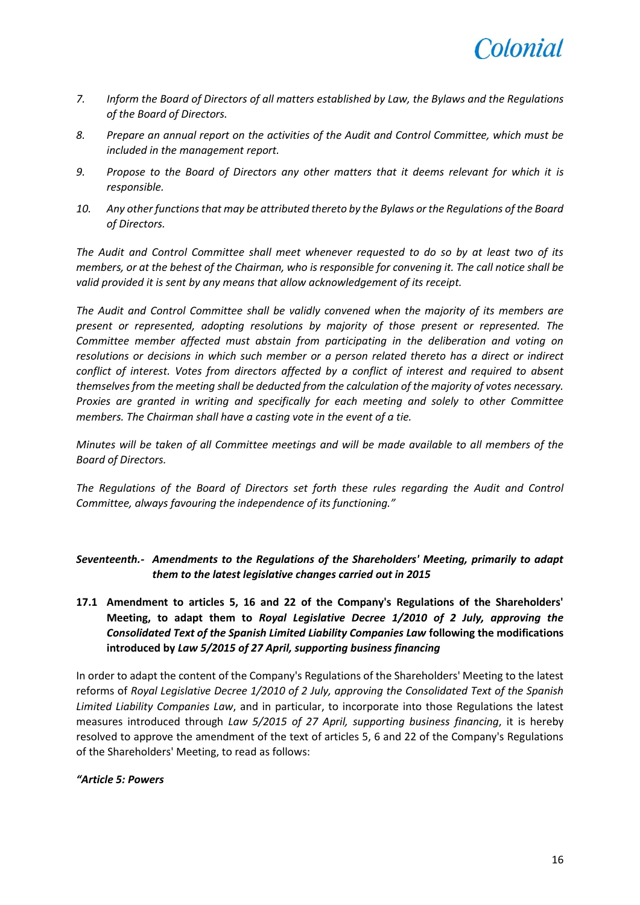

- *7. Inform the Board of Directors of all matters established by Law, the Bylaws and the Regulations of the Board of Directors.*
- *8. Prepare an annual report on the activities of the Audit and Control Committee, which must be included in the management report.*
- *9. Propose to the Board of Directors any other matters that it deems relevant for which it is responsible.*
- *10. Any other functions that may be attributed thereto by the Bylaws or the Regulations of the Board of Directors.*

*The Audit and Control Committee shall meet whenever requested to do so by at least two of its members, or at the behest of the Chairman, who is responsible for convening it. The call notice shall be valid provided it is sent by any means that allow acknowledgement of its receipt.*

*The Audit and Control Committee shall be validly convened when the majority of its members are present or represented, adopting resolutions by majority of those present or represented. The Committee member affected must abstain from participating in the deliberation and voting on resolutions or decisions in which such member or a person related thereto has a direct or indirect conflict of interest. Votes from directors affected by a conflict of interest and required to absent themselves from the meeting shall be deducted from the calculation of the majority of votes necessary. Proxies are granted in writing and specifically for each meeting and solely to other Committee members. The Chairman shall have a casting vote in the event of a tie.*

*Minutes will be taken of all Committee meetings and will be made available to all members of the Board of Directors.*

*The Regulations of the Board of Directors set forth these rules regarding the Audit and Control Committee, always favouring the independence of its functioning."*

*Seventeenth.- Amendments to the Regulations of the Shareholders' Meeting, primarily to adapt them to the latest legislative changes carried out in 2015*

**17.1 Amendment to articles 5, 16 and 22 of the Company's Regulations of the Shareholders' Meeting, to adapt them to** *Royal Legislative Decree 1/2010 of 2 July, approving the Consolidated Text of the Spanish Limited Liability Companies Law* **following the modifications introduced by** *Law 5/2015 of 27 April, supporting business financing*

In order to adapt the content of the Company's Regulations of the Shareholders' Meeting to the latest reforms of *Royal Legislative Decree 1/2010 of 2 July, approving the Consolidated Text of the Spanish Limited Liability Companies Law*, and in particular, to incorporate into those Regulations the latest measures introduced through *Law 5/2015 of 27 April, supporting business financing*, it is hereby resolved to approve the amendment of the text of articles 5, 6 and 22 of the Company's Regulations of the Shareholders' Meeting, to read as follows:

## *"Article 5: Powers*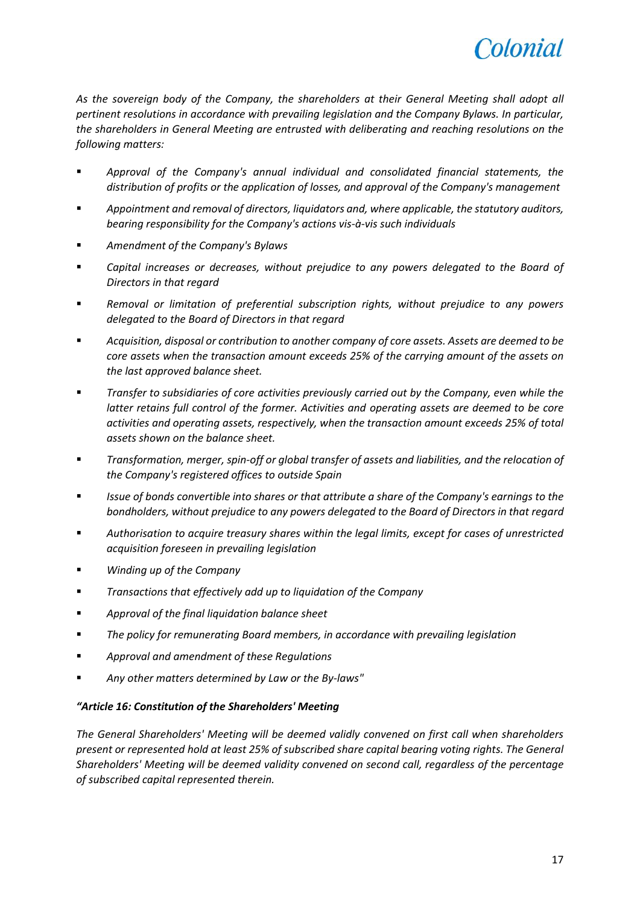

*As the sovereign body of the Company, the shareholders at their General Meeting shall adopt all pertinent resolutions in accordance with prevailing legislation and the Company Bylaws. In particular, the shareholders in General Meeting are entrusted with deliberating and reaching resolutions on the following matters:*

- *Approval of the Company's annual individual and consolidated financial statements, the distribution of profits or the application of losses, and approval of the Company's management*
- *Appointment and removal of directors, liquidators and, where applicable, the statutory auditors, bearing responsibility for the Company's actions vis-à-vis such individuals*
- *Amendment of the Company's Bylaws*
- *Capital increases or decreases, without prejudice to any powers delegated to the Board of Directors in that regard*
- *Removal or limitation of preferential subscription rights, without prejudice to any powers delegated to the Board of Directors in that regard*
- *Acquisition, disposal or contribution to another company of core assets. Assets are deemed to be core assets when the transaction amount exceeds 25% of the carrying amount of the assets on the last approved balance sheet.*
- *Transfer to subsidiaries of core activities previously carried out by the Company, even while the latter retains full control of the former. Activities and operating assets are deemed to be core activities and operating assets, respectively, when the transaction amount exceeds 25% of total assets shown on the balance sheet.*
- *Transformation, merger, spin-off or global transfer of assets and liabilities, and the relocation of the Company's registered offices to outside Spain*
- *Issue of bonds convertible into shares or that attribute a share of the Company's earnings to the bondholders, without prejudice to any powers delegated to the Board of Directors in that regard*
- *Authorisation to acquire treasury shares within the legal limits, except for cases of unrestricted acquisition foreseen in prevailing legislation*
- *Winding up of the Company*
- *Transactions that effectively add up to liquidation of the Company*
- *Approval of the final liquidation balance sheet*
- *The policy for remunerating Board members, in accordance with prevailing legislation*
- *Approval and amendment of these Regulations*
- *Any other matters determined by Law or the By-laws"*

## *"Article 16: Constitution of the Shareholders' Meeting*

*The General Shareholders' Meeting will be deemed validly convened on first call when shareholders present or represented hold at least 25% of subscribed share capital bearing voting rights. The General Shareholders' Meeting will be deemed validity convened on second call, regardless of the percentage of subscribed capital represented therein.*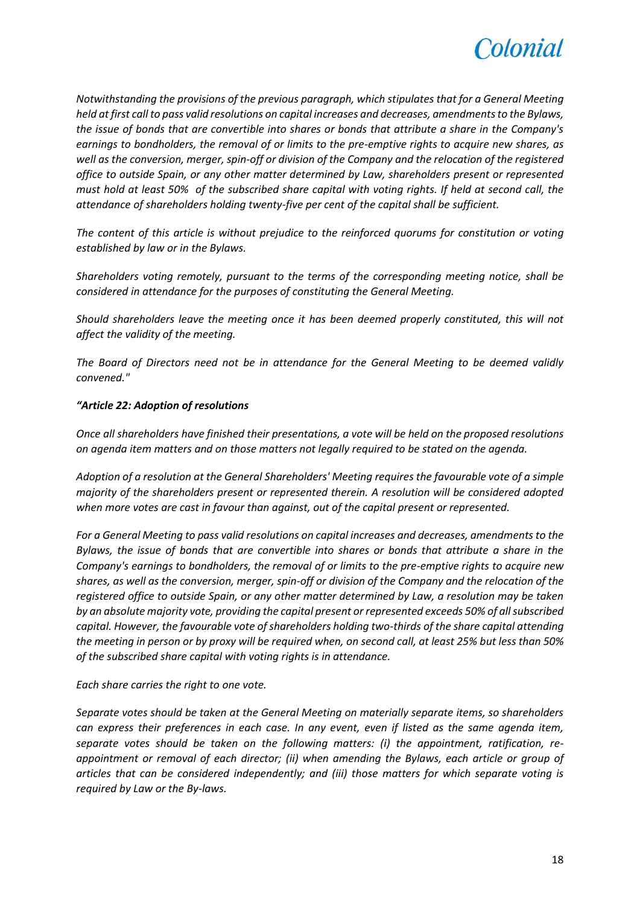

*Notwithstanding the provisions of the previous paragraph, which stipulates that for a General Meeting held at first call to pass valid resolutions on capital increases and decreases, amendments to the Bylaws, the issue of bonds that are convertible into shares or bonds that attribute a share in the Company's earnings to bondholders, the removal of or limits to the pre-emptive rights to acquire new shares, as well as the conversion, merger, spin-off or division of the Company and the relocation of the registered office to outside Spain, or any other matter determined by Law, shareholders present or represented must hold at least 50% of the subscribed share capital with voting rights. If held at second call, the attendance of shareholders holding twenty-five per cent of the capital shall be sufficient.*

*The content of this article is without prejudice to the reinforced quorums for constitution or voting established by law or in the Bylaws.*

*Shareholders voting remotely, pursuant to the terms of the corresponding meeting notice, shall be considered in attendance for the purposes of constituting the General Meeting.*

*Should shareholders leave the meeting once it has been deemed properly constituted, this will not affect the validity of the meeting.*

*The Board of Directors need not be in attendance for the General Meeting to be deemed validly convened."*

## *"Article 22: Adoption of resolutions*

*Once all shareholders have finished their presentations, a vote will be held on the proposed resolutions on agenda item matters and on those matters not legally required to be stated on the agenda.*

*Adoption of a resolution at the General Shareholders' Meeting requires the favourable vote of a simple majority of the shareholders present or represented therein. A resolution will be considered adopted when more votes are cast in favour than against, out of the capital present or represented.*

*For a General Meeting to pass valid resolutions on capital increases and decreases, amendments to the Bylaws, the issue of bonds that are convertible into shares or bonds that attribute a share in the Company's earnings to bondholders, the removal of or limits to the pre-emptive rights to acquire new shares, as well as the conversion, merger, spin-off or division of the Company and the relocation of the registered office to outside Spain, or any other matter determined by Law, a resolution may be taken by an absolute majority vote, providing the capital present or represented exceeds 50% of all subscribed capital. However, the favourable vote of shareholders holding two-thirds of the share capital attending the meeting in person or by proxy will be required when, on second call, at least 25% but less than 50% of the subscribed share capital with voting rights is in attendance.*

*Each share carries the right to one vote.*

*Separate votes should be taken at the General Meeting on materially separate items, so shareholders can express their preferences in each case. In any event, even if listed as the same agenda item, separate votes should be taken on the following matters: (i) the appointment, ratification, reappointment or removal of each director; (ii) when amending the Bylaws, each article or group of articles that can be considered independently; and (iii) those matters for which separate voting is required by Law or the By-laws.*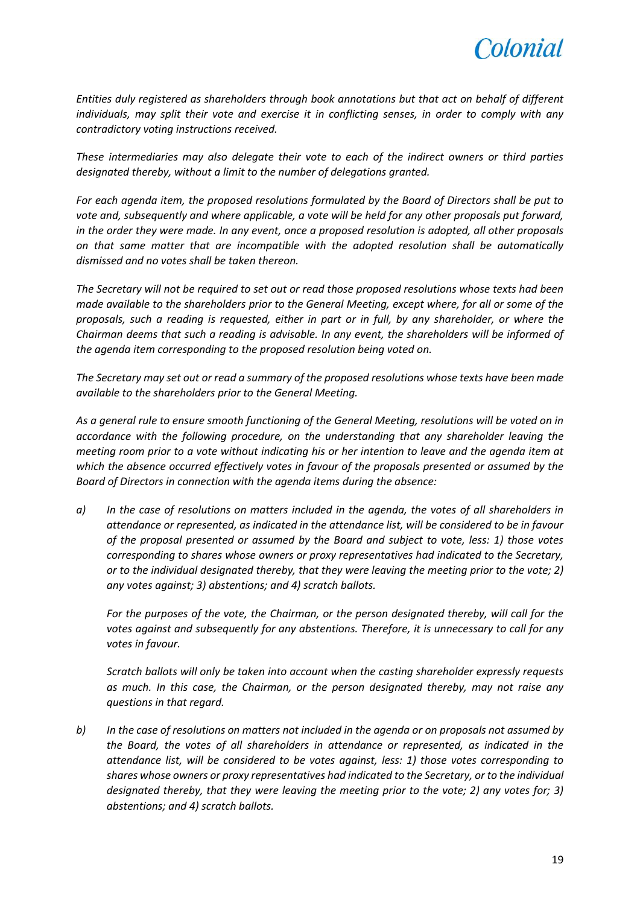

*Entities duly registered as shareholders through book annotations but that act on behalf of different individuals, may split their vote and exercise it in conflicting senses, in order to comply with any contradictory voting instructions received.*

*These intermediaries may also delegate their vote to each of the indirect owners or third parties designated thereby, without a limit to the number of delegations granted.*

*For each agenda item, the proposed resolutions formulated by the Board of Directors shall be put to vote and, subsequently and where applicable, a vote will be held for any other proposals put forward, in the order they were made. In any event, once a proposed resolution is adopted, all other proposals on that same matter that are incompatible with the adopted resolution shall be automatically dismissed and no votes shall be taken thereon.*

*The Secretary will not be required to set out or read those proposed resolutions whose texts had been made available to the shareholders prior to the General Meeting, except where, for all or some of the proposals, such a reading is requested, either in part or in full, by any shareholder, or where the Chairman deems that such a reading is advisable. In any event, the shareholders will be informed of the agenda item corresponding to the proposed resolution being voted on.*

*The Secretary may set out or read a summary of the proposed resolutions whose texts have been made available to the shareholders prior to the General Meeting.*

*As a general rule to ensure smooth functioning of the General Meeting, resolutions will be voted on in accordance with the following procedure, on the understanding that any shareholder leaving the meeting room prior to a vote without indicating his or her intention to leave and the agenda item at which the absence occurred effectively votes in favour of the proposals presented or assumed by the Board of Directors in connection with the agenda items during the absence:*

*a) In the case of resolutions on matters included in the agenda, the votes of all shareholders in attendance or represented, as indicated in the attendance list, will be considered to be in favour of the proposal presented or assumed by the Board and subject to vote, less: 1) those votes corresponding to shares whose owners or proxy representatives had indicated to the Secretary, or to the individual designated thereby, that they were leaving the meeting prior to the vote; 2) any votes against; 3) abstentions; and 4) scratch ballots.*

*For the purposes of the vote, the Chairman, or the person designated thereby, will call for the votes against and subsequently for any abstentions. Therefore, it is unnecessary to call for any votes in favour.*

*Scratch ballots will only be taken into account when the casting shareholder expressly requests as much. In this case, the Chairman, or the person designated thereby, may not raise any questions in that regard.*

*b) In the case of resolutions on matters not included in the agenda or on proposals not assumed by the Board, the votes of all shareholders in attendance or represented, as indicated in the attendance list, will be considered to be votes against, less: 1) those votes corresponding to shares whose owners or proxy representatives had indicated to the Secretary, or to the individual designated thereby, that they were leaving the meeting prior to the vote; 2) any votes for; 3) abstentions; and 4) scratch ballots.*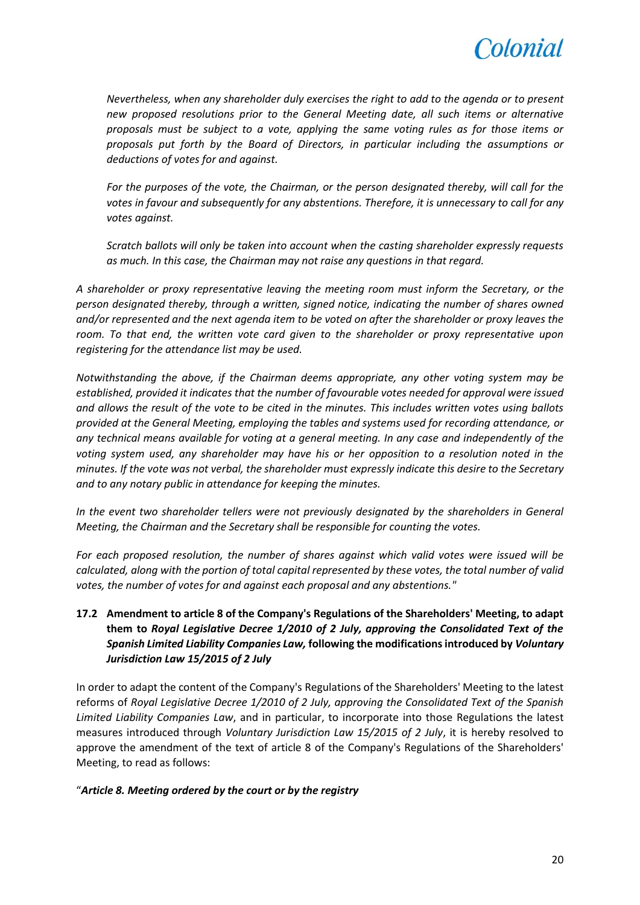

*Nevertheless, when any shareholder duly exercises the right to add to the agenda or to present new proposed resolutions prior to the General Meeting date, all such items or alternative proposals must be subject to a vote, applying the same voting rules as for those items or proposals put forth by the Board of Directors, in particular including the assumptions or deductions of votes for and against.*

*For the purposes of the vote, the Chairman, or the person designated thereby, will call for the votes in favour and subsequently for any abstentions. Therefore, it is unnecessary to call for any votes against.*

*Scratch ballots will only be taken into account when the casting shareholder expressly requests as much. In this case, the Chairman may not raise any questions in that regard.* 

*A shareholder or proxy representative leaving the meeting room must inform the Secretary, or the person designated thereby, through a written, signed notice, indicating the number of shares owned and/or represented and the next agenda item to be voted on after the shareholder or proxy leaves the room. To that end, the written vote card given to the shareholder or proxy representative upon registering for the attendance list may be used.*

*Notwithstanding the above, if the Chairman deems appropriate, any other voting system may be established, provided it indicates that the number of favourable votes needed for approval were issued and allows the result of the vote to be cited in the minutes. This includes written votes using ballots provided at the General Meeting, employing the tables and systems used for recording attendance, or any technical means available for voting at a general meeting. In any case and independently of the voting system used, any shareholder may have his or her opposition to a resolution noted in the minutes. If the vote was not verbal, the shareholder must expressly indicate this desire to the Secretary and to any notary public in attendance for keeping the minutes.*

*In the event two shareholder tellers were not previously designated by the shareholders in General Meeting, the Chairman and the Secretary shall be responsible for counting the votes.*

*For each proposed resolution, the number of shares against which valid votes were issued will be calculated, along with the portion of total capital represented by these votes, the total number of valid votes, the number of votes for and against each proposal and any abstentions."*

**17.2 Amendment to article 8 of the Company's Regulations of the Shareholders' Meeting, to adapt them to** *Royal Legislative Decree 1/2010 of 2 July, approving the Consolidated Text of the Spanish Limited Liability Companies Law,* **following the modifications introduced by** *Voluntary Jurisdiction Law 15/2015 of 2 July*

In order to adapt the content of the Company's Regulations of the Shareholders' Meeting to the latest reforms of *Royal Legislative Decree 1/2010 of 2 July, approving the Consolidated Text of the Spanish Limited Liability Companies Law*, and in particular, to incorporate into those Regulations the latest measures introduced through *Voluntary Jurisdiction Law 15/2015 of 2 July*, it is hereby resolved to approve the amendment of the text of article 8 of the Company's Regulations of the Shareholders' Meeting, to read as follows:

## "*Article 8. Meeting ordered by the court or by the registry*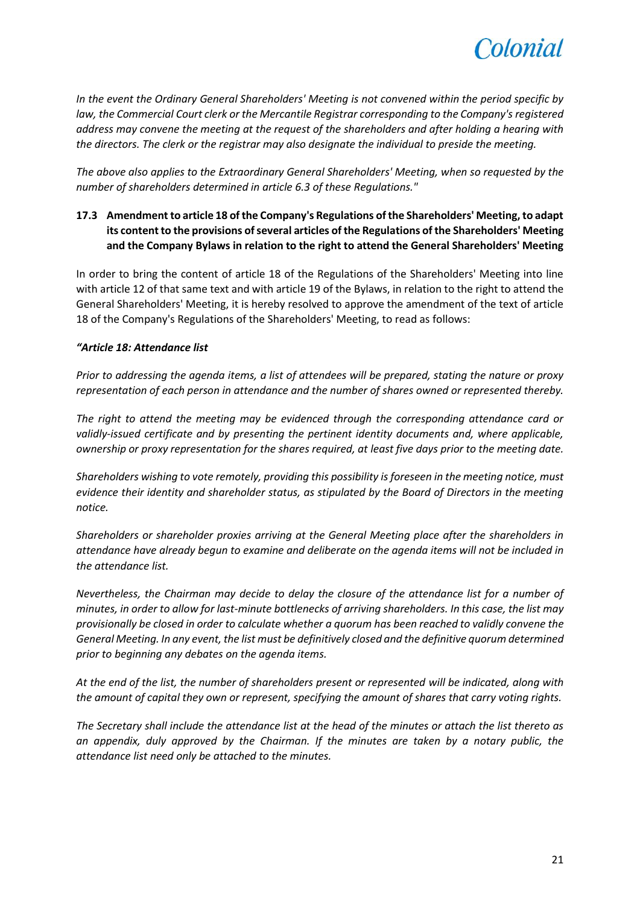

*In the event the Ordinary General Shareholders' Meeting is not convened within the period specific by law, the Commercial Court clerk or the Mercantile Registrar corresponding to the Company's registered address may convene the meeting at the request of the shareholders and after holding a hearing with the directors. The clerk or the registrar may also designate the individual to preside the meeting.*

*The above also applies to the Extraordinary General Shareholders' Meeting, when so requested by the number of shareholders determined in article 6.3 of these Regulations."*

# **17.3 Amendment to article 18 of the Company's Regulations of the Shareholders' Meeting, to adapt its content to the provisions of several articles of the Regulations of the Shareholders' Meeting and the Company Bylaws in relation to the right to attend the General Shareholders' Meeting**

In order to bring the content of article 18 of the Regulations of the Shareholders' Meeting into line with article 12 of that same text and with article 19 of the Bylaws, in relation to the right to attend the General Shareholders' Meeting, it is hereby resolved to approve the amendment of the text of article 18 of the Company's Regulations of the Shareholders' Meeting, to read as follows:

## *"Article 18: Attendance list*

*Prior to addressing the agenda items, a list of attendees will be prepared, stating the nature or proxy representation of each person in attendance and the number of shares owned or represented thereby.* 

*The right to attend the meeting may be evidenced through the corresponding attendance card or validly-issued certificate and by presenting the pertinent identity documents and, where applicable, ownership or proxy representation for the shares required, at least five days prior to the meeting date.* 

*Shareholders wishing to vote remotely, providing this possibility is foreseen in the meeting notice, must evidence their identity and shareholder status, as stipulated by the Board of Directors in the meeting notice.* 

*Shareholders or shareholder proxies arriving at the General Meeting place after the shareholders in attendance have already begun to examine and deliberate on the agenda items will not be included in the attendance list.*

*Nevertheless, the Chairman may decide to delay the closure of the attendance list for a number of minutes, in order to allow for last-minute bottlenecks of arriving shareholders. In this case, the list may provisionally be closed in order to calculate whether a quorum has been reached to validly convene the General Meeting. In any event, the list must be definitively closed and the definitive quorum determined prior to beginning any debates on the agenda items.*

*At the end of the list, the number of shareholders present or represented will be indicated, along with the amount of capital they own or represent, specifying the amount of shares that carry voting rights.*

*The Secretary shall include the attendance list at the head of the minutes or attach the list thereto as an appendix, duly approved by the Chairman. If the minutes are taken by a notary public, the attendance list need only be attached to the minutes.*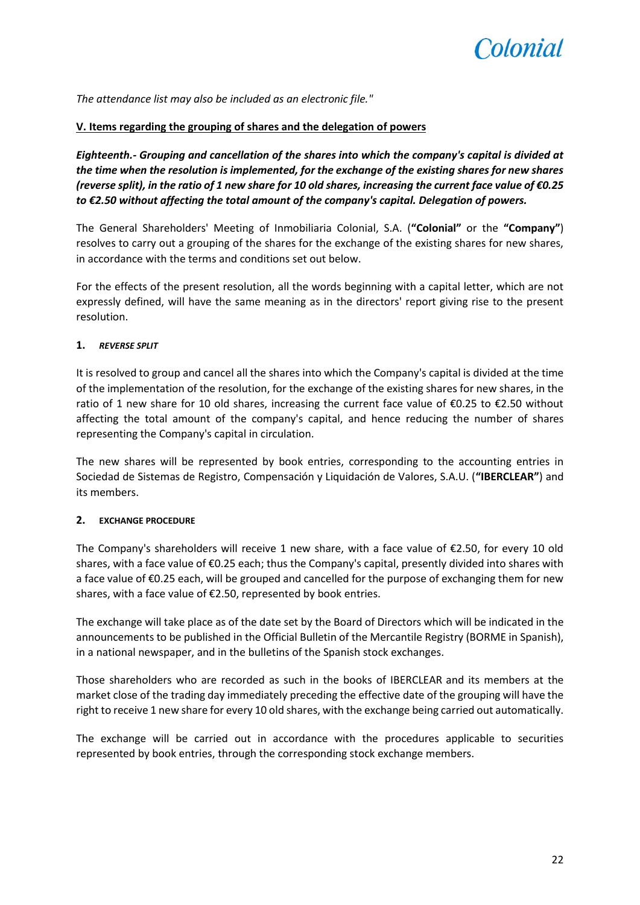

*The attendance list may also be included as an electronic file."*

## **V. Items regarding the grouping of shares and the delegation of powers**

*Eighteenth.- Grouping and cancellation of the shares into which the company's capital is divided at the time when the resolution is implemented, for the exchange of the existing shares for new shares (reverse split), in the ratio of 1 new share for 10 old shares, increasing the current face value of €0.25 to €2.50 without affecting the total amount of the company's capital. Delegation of powers.*

The General Shareholders' Meeting of Inmobiliaria Colonial, S.A. (**"Colonial"** or the **"Company"**) resolves to carry out a grouping of the shares for the exchange of the existing shares for new shares, in accordance with the terms and conditions set out below.

For the effects of the present resolution, all the words beginning with a capital letter, which are not expressly defined, will have the same meaning as in the directors' report giving rise to the present resolution.

## **1.** *REVERSE SPLIT*

It is resolved to group and cancel all the shares into which the Company's capital is divided at the time of the implementation of the resolution, for the exchange of the existing shares for new shares, in the ratio of 1 new share for 10 old shares, increasing the current face value of  $\epsilon$ 0.25 to  $\epsilon$ 2.50 without affecting the total amount of the company's capital, and hence reducing the number of shares representing the Company's capital in circulation.

The new shares will be represented by book entries, corresponding to the accounting entries in Sociedad de Sistemas de Registro, Compensación y Liquidación de Valores, S.A.U. (**"IBERCLEAR"**) and its members.

## **2. EXCHANGE PROCEDURE**

The Company's shareholders will receive 1 new share, with a face value of  $\epsilon$ 2.50, for every 10 old shares, with a face value of €0.25 each; thus the Company's capital, presently divided into shares with a face value of €0.25 each, will be grouped and cancelled for the purpose of exchanging them for new shares, with a face value of €2.50, represented by book entries.

The exchange will take place as of the date set by the Board of Directors which will be indicated in the announcements to be published in the Official Bulletin of the Mercantile Registry (BORME in Spanish), in a national newspaper, and in the bulletins of the Spanish stock exchanges.

Those shareholders who are recorded as such in the books of IBERCLEAR and its members at the market close of the trading day immediately preceding the effective date of the grouping will have the right to receive 1 new share for every 10 old shares, with the exchange being carried out automatically.

The exchange will be carried out in accordance with the procedures applicable to securities represented by book entries, through the corresponding stock exchange members.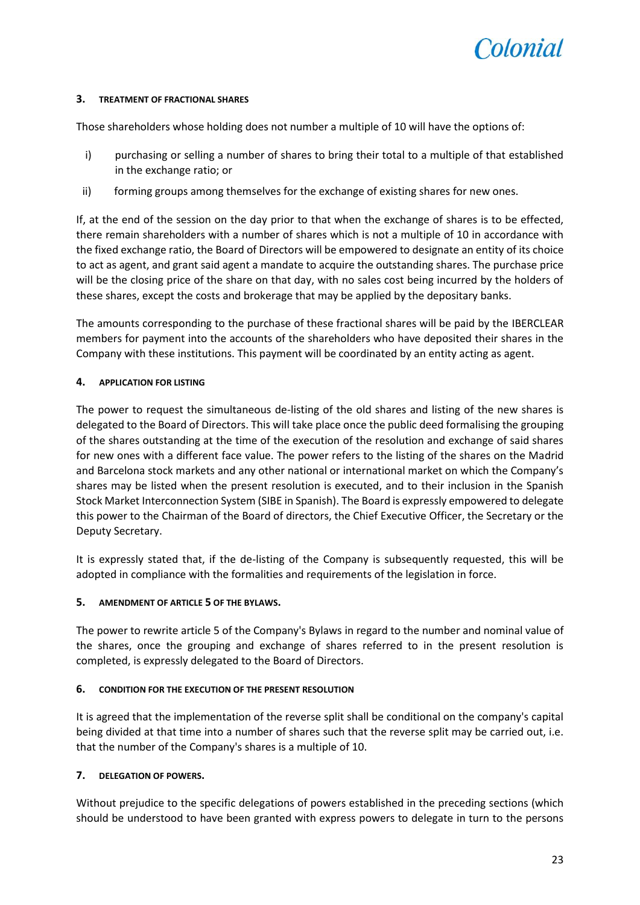

#### **3. TREATMENT OF FRACTIONAL SHARES**

Those shareholders whose holding does not number a multiple of 10 will have the options of:

- i) purchasing or selling a number of shares to bring their total to a multiple of that established in the exchange ratio; or
- ii) forming groups among themselves for the exchange of existing shares for new ones.

If, at the end of the session on the day prior to that when the exchange of shares is to be effected, there remain shareholders with a number of shares which is not a multiple of 10 in accordance with the fixed exchange ratio, the Board of Directors will be empowered to designate an entity of its choice to act as agent, and grant said agent a mandate to acquire the outstanding shares. The purchase price will be the closing price of the share on that day, with no sales cost being incurred by the holders of these shares, except the costs and brokerage that may be applied by the depositary banks.

The amounts corresponding to the purchase of these fractional shares will be paid by the IBERCLEAR members for payment into the accounts of the shareholders who have deposited their shares in the Company with these institutions. This payment will be coordinated by an entity acting as agent.

## **4. APPLICATION FOR LISTING**

The power to request the simultaneous de-listing of the old shares and listing of the new shares is delegated to the Board of Directors. This will take place once the public deed formalising the grouping of the shares outstanding at the time of the execution of the resolution and exchange of said shares for new ones with a different face value. The power refers to the listing of the shares on the Madrid and Barcelona stock markets and any other national or international market on which the Company's shares may be listed when the present resolution is executed, and to their inclusion in the Spanish Stock Market Interconnection System (SIBE in Spanish). The Board is expressly empowered to delegate this power to the Chairman of the Board of directors, the Chief Executive Officer, the Secretary or the Deputy Secretary.

It is expressly stated that, if the de-listing of the Company is subsequently requested, this will be adopted in compliance with the formalities and requirements of the legislation in force.

## **5. AMENDMENT OF ARTICLE 5 OF THE BYLAWS.**

The power to rewrite article 5 of the Company's Bylaws in regard to the number and nominal value of the shares, once the grouping and exchange of shares referred to in the present resolution is completed, is expressly delegated to the Board of Directors.

## **6. CONDITION FOR THE EXECUTION OF THE PRESENT RESOLUTION**

It is agreed that the implementation of the reverse split shall be conditional on the company's capital being divided at that time into a number of shares such that the reverse split may be carried out, i.e. that the number of the Company's shares is a multiple of 10.

## **7. DELEGATION OF POWERS.**

Without prejudice to the specific delegations of powers established in the preceding sections (which should be understood to have been granted with express powers to delegate in turn to the persons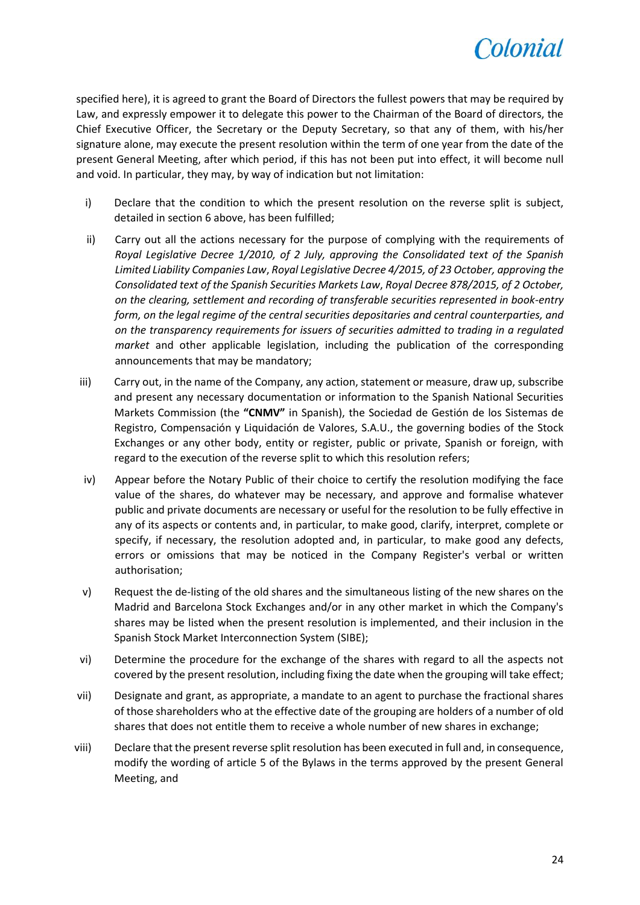

specified here), it is agreed to grant the Board of Directors the fullest powers that may be required by Law, and expressly empower it to delegate this power to the Chairman of the Board of directors, the Chief Executive Officer, the Secretary or the Deputy Secretary, so that any of them, with his/her signature alone, may execute the present resolution within the term of one year from the date of the present General Meeting, after which period, if this has not been put into effect, it will become null and void. In particular, they may, by way of indication but not limitation:

- i) Declare that the condition to which the present resolution on the reverse split is subject, detailed in section 6 above, has been fulfilled;
- ii) Carry out all the actions necessary for the purpose of complying with the requirements of *Royal Legislative Decree 1/2010, of 2 July, approving the Consolidated text of the Spanish Limited Liability Companies Law*, *Royal Legislative Decree 4/2015, of 23 October, approving the Consolidated text of the Spanish Securities Markets Law*, *Royal Decree 878/2015, of 2 October, on the clearing, settlement and recording of transferable securities represented in book-entry form, on the legal regime of the central securities depositaries and central counterparties, and on the transparency requirements for issuers of securities admitted to trading in a regulated market* and other applicable legislation, including the publication of the corresponding announcements that may be mandatory;
- iii) Carry out, in the name of the Company, any action, statement or measure, draw up, subscribe and present any necessary documentation or information to the Spanish National Securities Markets Commission (the **"CNMV"** in Spanish), the Sociedad de Gestión de los Sistemas de Registro, Compensación y Liquidación de Valores, S.A.U., the governing bodies of the Stock Exchanges or any other body, entity or register, public or private, Spanish or foreign, with regard to the execution of the reverse split to which this resolution refers;
- iv) Appear before the Notary Public of their choice to certify the resolution modifying the face value of the shares, do whatever may be necessary, and approve and formalise whatever public and private documents are necessary or useful for the resolution to be fully effective in any of its aspects or contents and, in particular, to make good, clarify, interpret, complete or specify, if necessary, the resolution adopted and, in particular, to make good any defects, errors or omissions that may be noticed in the Company Register's verbal or written authorisation;
- v) Request the de-listing of the old shares and the simultaneous listing of the new shares on the Madrid and Barcelona Stock Exchanges and/or in any other market in which the Company's shares may be listed when the present resolution is implemented, and their inclusion in the Spanish Stock Market Interconnection System (SIBE);
- vi) Determine the procedure for the exchange of the shares with regard to all the aspects not covered by the present resolution, including fixing the date when the grouping will take effect;
- vii) Designate and grant, as appropriate, a mandate to an agent to purchase the fractional shares of those shareholders who at the effective date of the grouping are holders of a number of old shares that does not entitle them to receive a whole number of new shares in exchange;
- viii) Declare that the present reverse split resolution has been executed in full and, in consequence, modify the wording of article 5 of the Bylaws in the terms approved by the present General Meeting, and